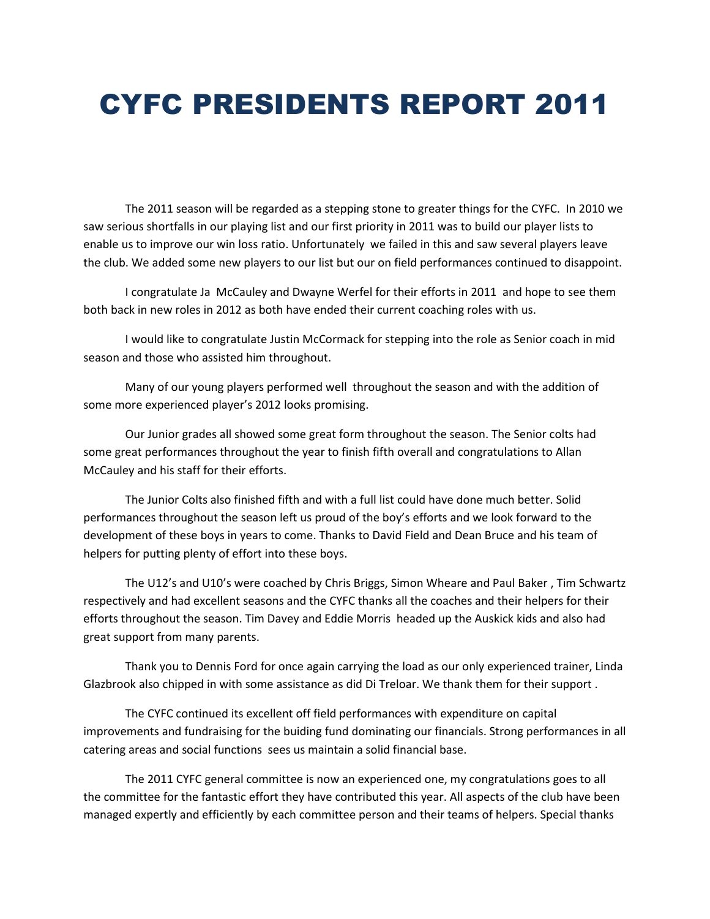## CYFC PRESIDENTS REPORT 2011

The 2011 season will be regarded as a stepping stone to greater things for the CYFC. In 2010 we saw serious shortfalls in our playing list and our first priority in 2011 was to build our player lists to enable us to improve our win loss ratio. Unfortunately we failed in this and saw several players leave the club. We added some new players to our list but our on field performances continued to disappoint.

I congratulate Ja McCauley and Dwayne Werfel for their efforts in 2011 and hope to see them both back in new roles in 2012 as both have ended their current coaching roles with us.

I would like to congratulate Justin McCormack for stepping into the role as Senior coach in mid season and those who assisted him throughout.

Many of our young players performed well throughout the season and with the addition of some more experienced player's 2012 looks promising.

Our Junior grades all showed some great form throughout the season. The Senior colts had some great performances throughout the year to finish fifth overall and congratulations to Allan McCauley and his staff for their efforts.

The Junior Colts also finished fifth and with a full list could have done much better. Solid performances throughout the season left us proud of the boy's efforts and we look forward to the development of these boys in years to come. Thanks to David Field and Dean Bruce and his team of helpers for putting plenty of effort into these boys.

The U12's and U10's were coached by Chris Briggs, Simon Wheare and Paul Baker , Tim Schwartz respectively and had excellent seasons and the CYFC thanks all the coaches and their helpers for their efforts throughout the season. Tim Davey and Eddie Morris headed up the Auskick kids and also had great support from many parents.

Thank you to Dennis Ford for once again carrying the load as our only experienced trainer, Linda Glazbrook also chipped in with some assistance as did Di Treloar. We thank them for their support .

The CYFC continued its excellent off field performances with expenditure on capital improvements and fundraising for the buiding fund dominating our financials. Strong performances in all catering areas and social functions sees us maintain a solid financial base.

The 2011 CYFC general committee is now an experienced one, my congratulations goes to all the committee for the fantastic effort they have contributed this year. All aspects of the club have been managed expertly and efficiently by each committee person and their teams of helpers. Special thanks